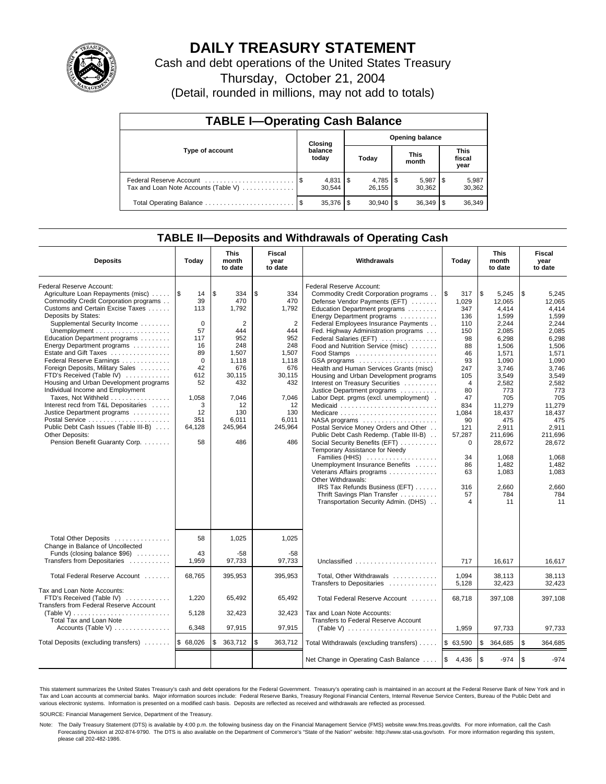

## **DAILY TREASURY STATEMENT**

Cash and debt operations of the United States Treasury

Thursday, October 21, 2004

(Detail, rounded in millions, may not add to totals)

| <b>TABLE I-Operating Cash Balance</b> |         |                  |                        |                 |                      |                 |                               |                 |  |  |
|---------------------------------------|---------|------------------|------------------------|-----------------|----------------------|-----------------|-------------------------------|-----------------|--|--|
|                                       | Closing |                  | <b>Opening balance</b> |                 |                      |                 |                               |                 |  |  |
| Type of account                       |         | balance<br>today | Today                  |                 | <b>This</b><br>month |                 | <b>This</b><br>fiscal<br>year |                 |  |  |
| Tax and Loan Note Accounts (Table V)  |         | 30.544           |                        | 26.155          |                      | 5,987<br>30.362 | 1\$                           | 5,987<br>30,362 |  |  |
|                                       |         |                  |                        | $30.940$ \ \ \$ |                      |                 |                               | 36,349          |  |  |

### **TABLE II—Deposits and Withdrawals of Operating Cash**

| <b>Deposits</b>                                                                                                                                                                                                                                                                                                                                                                                                                                                                                                                                                                                                                                                  | Today                                                                                                                                    | <b>This</b><br>month<br>to date                                                                                                                | Fiscal<br>year<br>to date                                                                                                                                   | Withdrawals                                                                                                                                                                                                                                                                                                                                                                                                                                                                                                                                                                                                                                                                                                                                                                                                                                                                                                                                                                                 | Today                                                                                                                                                                                               | <b>This</b><br>month<br>to date                                                                                                                                                                                                                  | Fiscal<br>year<br>to date                                                                                                                                                                                                                        |
|------------------------------------------------------------------------------------------------------------------------------------------------------------------------------------------------------------------------------------------------------------------------------------------------------------------------------------------------------------------------------------------------------------------------------------------------------------------------------------------------------------------------------------------------------------------------------------------------------------------------------------------------------------------|------------------------------------------------------------------------------------------------------------------------------------------|------------------------------------------------------------------------------------------------------------------------------------------------|-------------------------------------------------------------------------------------------------------------------------------------------------------------|---------------------------------------------------------------------------------------------------------------------------------------------------------------------------------------------------------------------------------------------------------------------------------------------------------------------------------------------------------------------------------------------------------------------------------------------------------------------------------------------------------------------------------------------------------------------------------------------------------------------------------------------------------------------------------------------------------------------------------------------------------------------------------------------------------------------------------------------------------------------------------------------------------------------------------------------------------------------------------------------|-----------------------------------------------------------------------------------------------------------------------------------------------------------------------------------------------------|--------------------------------------------------------------------------------------------------------------------------------------------------------------------------------------------------------------------------------------------------|--------------------------------------------------------------------------------------------------------------------------------------------------------------------------------------------------------------------------------------------------|
| Federal Reserve Account:<br>Agriculture Loan Repayments (misc)<br>Commodity Credit Corporation programs<br>Customs and Certain Excise Taxes<br>Deposits by States:<br>Supplemental Security Income<br>Education Department programs<br>Energy Department programs<br>Estate and Gift Taxes<br>Federal Reserve Earnings<br>Foreign Deposits, Military Sales<br>FTD's Received (Table IV)<br>Housing and Urban Development programs<br>Individual Income and Employment<br>Taxes, Not Withheld<br>Interest recd from T&L Depositaries<br>Justice Department programs<br>Public Debt Cash Issues (Table III-B)<br>Other Deposits:<br>Pension Benefit Guaranty Corp. | ۱\$<br>14<br>39<br>113<br>$\mathbf 0$<br>57<br>117<br>16<br>89<br>$\Omega$<br>42<br>612<br>52<br>1,058<br>3<br>12<br>351<br>64,128<br>58 | \$<br>334<br>470<br>1.792<br>2<br>444<br>952<br>248<br>1.507<br>1,118<br>676<br>30,115<br>432<br>7,046<br>12<br>130<br>6,011<br>245,964<br>486 | \$<br>334<br>470<br>1.792<br>$\overline{2}$<br>444<br>952<br>248<br>1.507<br>1.118<br>676<br>30,115<br>432<br>7,046<br>12<br>130<br>6,011<br>245,964<br>486 | Federal Reserve Account:<br>Commodity Credit Corporation programs<br>Defense Vendor Payments (EFT)<br>Education Department programs<br>Energy Department programs<br>Federal Employees Insurance Payments<br>Fed. Highway Administration programs<br>Federal Salaries (EFT)<br>Food and Nutrition Service (misc)<br>GSA programs<br>Health and Human Services Grants (misc)<br>Housing and Urban Development programs<br>Interest on Treasury Securities<br>Justice Department programs<br>Labor Dept. prgms (excl. unemployment).<br>Medicaid<br>Medicare<br>$NASA$ programs $\ldots \ldots \ldots \ldots \ldots$<br>Postal Service Money Orders and Other<br>Public Debt Cash Redemp. (Table III-B)<br>Social Security Benefits (EFT)<br>Temporary Assistance for Needy<br>Families (HHS)<br>Unemployment Insurance Benefits<br>Veterans Affairs programs<br>Other Withdrawals:<br>IRS Tax Refunds Business (EFT)<br>Thrift Savings Plan Transfer<br>Transportation Security Admin. (DHS) | l\$<br>317<br>1.029<br>347<br>136<br>110<br>150<br>98<br>88<br>46<br>93<br>247<br>105<br>$\overline{4}$<br>80<br>47<br>834<br>1,084<br>90<br>121<br>57,287<br>0<br>34<br>86<br>63<br>316<br>57<br>4 | \$<br>5,245<br>12.065<br>4.414<br>1,599<br>2,244<br>2,085<br>6,298<br>1,506<br>1.571<br>1,090<br>3.746<br>3,549<br>2,582<br>773<br>705<br>11,279<br>18,437<br>475<br>2.911<br>211,696<br>28,672<br>1.068<br>1,482<br>1,083<br>2,660<br>784<br>11 | \$<br>5,245<br>12.065<br>4.414<br>1,599<br>2.244<br>2,085<br>6,298<br>1,506<br>1.571<br>1,090<br>3.746<br>3,549<br>2,582<br>773<br>705<br>11.279<br>18,437<br>475<br>2.911<br>211,696<br>28,672<br>1.068<br>1,482<br>1,083<br>2,660<br>784<br>11 |
| Total Other Deposits<br>Change in Balance of Uncollected<br>Funds (closing balance \$96)<br>Transfers from Depositaries                                                                                                                                                                                                                                                                                                                                                                                                                                                                                                                                          | 58<br>43<br>1,959                                                                                                                        | 1,025<br>$-58$<br>97,733                                                                                                                       | 1,025<br>$-58$<br>97,733                                                                                                                                    | Unclassified                                                                                                                                                                                                                                                                                                                                                                                                                                                                                                                                                                                                                                                                                                                                                                                                                                                                                                                                                                                | 717                                                                                                                                                                                                 | 16.617                                                                                                                                                                                                                                           | 16.617                                                                                                                                                                                                                                           |
| Total Federal Reserve Account                                                                                                                                                                                                                                                                                                                                                                                                                                                                                                                                                                                                                                    | 68,765                                                                                                                                   | 395,953                                                                                                                                        | 395,953                                                                                                                                                     | Total, Other Withdrawals                                                                                                                                                                                                                                                                                                                                                                                                                                                                                                                                                                                                                                                                                                                                                                                                                                                                                                                                                                    | 1,094                                                                                                                                                                                               | 38,113                                                                                                                                                                                                                                           | 38.113                                                                                                                                                                                                                                           |
| Tax and Loan Note Accounts:<br>FTD's Received (Table IV)<br>Transfers from Federal Reserve Account<br>(Table V)                                                                                                                                                                                                                                                                                                                                                                                                                                                                                                                                                  | 1,220<br>5,128                                                                                                                           | 65,492<br>32,423                                                                                                                               | 65,492<br>32,423                                                                                                                                            | Transfers to Depositaries<br>Total Federal Reserve Account<br>Tax and Loan Note Accounts:                                                                                                                                                                                                                                                                                                                                                                                                                                                                                                                                                                                                                                                                                                                                                                                                                                                                                                   | 5,128<br>68,718                                                                                                                                                                                     | 32,423<br>397,108                                                                                                                                                                                                                                | 32.423<br>397,108                                                                                                                                                                                                                                |
| <b>Total Tax and Loan Note</b><br>Accounts (Table V) $\dots \dots \dots \dots$                                                                                                                                                                                                                                                                                                                                                                                                                                                                                                                                                                                   | 6,348                                                                                                                                    | 97,915                                                                                                                                         | 97,915                                                                                                                                                      | Transfers to Federal Reserve Account<br>(Table V) $\ldots \ldots \ldots \ldots \ldots \ldots \ldots$                                                                                                                                                                                                                                                                                                                                                                                                                                                                                                                                                                                                                                                                                                                                                                                                                                                                                        | 1,959                                                                                                                                                                                               | 97,733                                                                                                                                                                                                                                           | 97,733                                                                                                                                                                                                                                           |
| Total Deposits (excluding transfers)                                                                                                                                                                                                                                                                                                                                                                                                                                                                                                                                                                                                                             | \$68,026                                                                                                                                 | \$<br>363,712                                                                                                                                  | \$<br>363,712                                                                                                                                               | Total Withdrawals (excluding transfers)                                                                                                                                                                                                                                                                                                                                                                                                                                                                                                                                                                                                                                                                                                                                                                                                                                                                                                                                                     | \$63,590                                                                                                                                                                                            | \$<br>364,685                                                                                                                                                                                                                                    | \$<br>364,685                                                                                                                                                                                                                                    |
|                                                                                                                                                                                                                                                                                                                                                                                                                                                                                                                                                                                                                                                                  |                                                                                                                                          |                                                                                                                                                |                                                                                                                                                             | Net Change in Operating Cash Balance                                                                                                                                                                                                                                                                                                                                                                                                                                                                                                                                                                                                                                                                                                                                                                                                                                                                                                                                                        | $\mathfrak s$<br>4,436                                                                                                                                                                              | \$<br>$-974$                                                                                                                                                                                                                                     | l \$<br>$-974$                                                                                                                                                                                                                                   |

This statement summarizes the United States Treasury's cash and debt operations for the Federal Government. Treasury's operating cash is maintained in an account at the Federal Reserve Bank of New York and in Tax and Loan accounts at commercial banks. Major information sources include: Federal Reserve Banks, Treasury Regional Financial Centers, Internal Revenue Service Centers, Bureau of the Public Debt and<br>various electronic s

SOURCE: Financial Management Service, Department of the Treasury.

Note: The Daily Treasury Statement (DTS) is available by 4:00 p.m. the following business day on the Financial Management Service (FMS) website www.fms.treas.gov/dts. For more information, call the Cash Forecasting Division at 202-874-9790. The DTS is also available on the Department of Commerce's "State of the Nation" website: http://www.stat-usa.gov/sotn. For more information regarding this system, please call 202-482-1986.